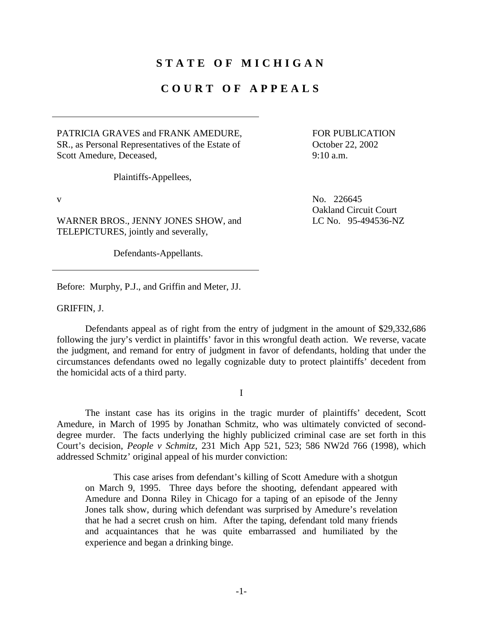## **STATE OF MICHIGAN**

## **COURT OF APPEALS**

PATRICIA GRAVES and FRANK AMEDURE, SR., as Personal Representatives of the Estate of Scott Amedure, Deceased,

 FOR PUBLICATION October 22, 2002 9:10 a.m.

Oakland Circuit Court

LC No. 95-494536-NZ

Plaintiffs-Appellees,

v No. 226645

WARNER BROS., JENNY JONES SHOW, and TELEPICTURES, jointly and severally,

Defendants-Appellants.

Before: Murphy, P.J., and Griffin and Meter, JJ.

GRIFFIN, J.

 Defendants appeal as of right from the entry of judgment in the amount of \$29,332,686 following the jury's verdict in plaintiffs' favor in this wrongful death action. We reverse, vacate the judgment, and remand for entry of judgment in favor of defendants, holding that under the circumstances defendants owed no legally cognizable duty to protect plaintiffs' decedent from the homicidal acts of a third party.

I

 The instant case has its origins in the tragic murder of plaintiffs' decedent, Scott Amedure, in March of 1995 by Jonathan Schmitz, who was ultimately convicted of seconddegree murder. The facts underlying the highly publicized criminal case are set forth in this Court's decision, *People v Schmitz*, 231 Mich App 521, 523; 586 NW2d 766 (1998), which addressed Schmitz' original appeal of his murder conviction:

 This case arises from defendant's killing of Scott Amedure with a shotgun on March 9, 1995. Three days before the shooting, defendant appeared with Amedure and Donna Riley in Chicago for a taping of an episode of the Jenny Jones talk show, during which defendant was surprised by Amedure's revelation that he had a secret crush on him. After the taping, defendant told many friends and acquaintances that he was quite embarrassed and humiliated by the experience and began a drinking binge.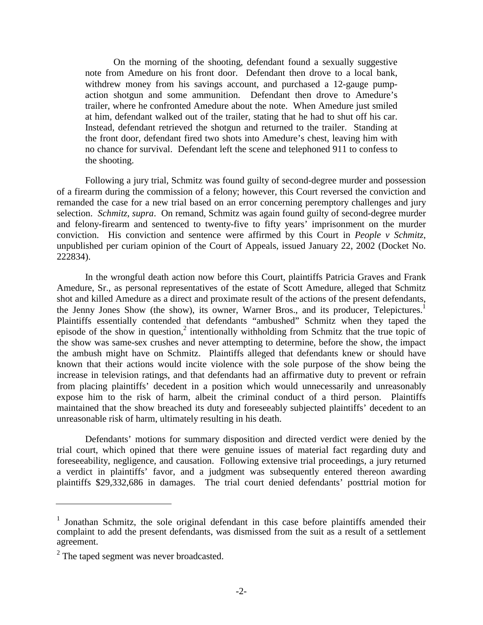On the morning of the shooting, defendant found a sexually suggestive note from Amedure on his front door. Defendant then drove to a local bank, withdrew money from his savings account, and purchased a 12-gauge pumpaction shotgun and some ammunition. Defendant then drove to Amedure's trailer, where he confronted Amedure about the note. When Amedure just smiled at him, defendant walked out of the trailer, stating that he had to shut off his car. Instead, defendant retrieved the shotgun and returned to the trailer. Standing at the front door, defendant fired two shots into Amedure's chest, leaving him with no chance for survival. Defendant left the scene and telephoned 911 to confess to the shooting.

 Following a jury trial, Schmitz was found guilty of second-degree murder and possession of a firearm during the commission of a felony; however, this Court reversed the conviction and remanded the case for a new trial based on an error concerning peremptory challenges and jury selection. *Schmitz*, *supra*. On remand, Schmitz was again found guilty of second-degree murder and felony-firearm and sentenced to twenty-five to fifty years' imprisonment on the murder conviction. His conviction and sentence were affirmed by this Court in *People v Schmitz*, unpublished per curiam opinion of the Court of Appeals, issued January 22, 2002 (Docket No. 222834).

In the wrongful death action now before this Court, plaintiffs Patricia Graves and Frank Amedure, Sr., as personal representatives of the estate of Scott Amedure, alleged that Schmitz shot and killed Amedure as a direct and proximate result of the actions of the present defendants, the Jenny Jones Show (the show), its owner, Warner Bros., and its producer, Telepictures.<sup>1</sup> Plaintiffs essentially contended that defendants "ambushed" Schmitz when they taped the episode of the show in question,<sup>2</sup> intentionally withholding from Schmitz that the true topic of the show was same-sex crushes and never attempting to determine, before the show, the impact the ambush might have on Schmitz. Plaintiffs alleged that defendants knew or should have known that their actions would incite violence with the sole purpose of the show being the increase in television ratings, and that defendants had an affirmative duty to prevent or refrain from placing plaintiffs' decedent in a position which would unnecessarily and unreasonably expose him to the risk of harm, albeit the criminal conduct of a third person. Plaintiffs maintained that the show breached its duty and foreseeably subjected plaintiffs' decedent to an unreasonable risk of harm, ultimately resulting in his death.

Defendants' motions for summary disposition and directed verdict were denied by the trial court, which opined that there were genuine issues of material fact regarding duty and foreseeability, negligence, and causation. Following extensive trial proceedings, a jury returned a verdict in plaintiffs' favor, and a judgment was subsequently entered thereon awarding plaintiffs \$29,332,686 in damages. The trial court denied defendants' posttrial motion for

<sup>&</sup>lt;sup>1</sup> Jonathan Schmitz, the sole original defendant in this case before plaintiffs amended their complaint to add the present defendants, was dismissed from the suit as a result of a settlement agreement.

 $2^2$  The taped segment was never broadcasted.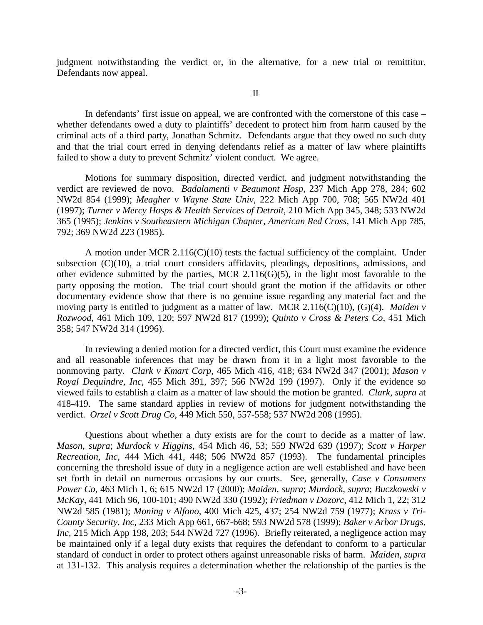judgment notwithstanding the verdict or, in the alternative, for a new trial or remittitur. Defendants now appeal.

II

 In defendants' first issue on appeal, we are confronted with the cornerstone of this case – whether defendants owed a duty to plaintiffs' decedent to protect him from harm caused by the criminal acts of a third party, Jonathan Schmitz. Defendants argue that they owed no such duty and that the trial court erred in denying defendants relief as a matter of law where plaintiffs failed to show a duty to prevent Schmitz' violent conduct. We agree.

Motions for summary disposition, directed verdict, and judgment notwithstanding the verdict are reviewed de novo. *Badalamenti v Beaumont Hosp*, 237 Mich App 278, 284; 602 NW2d 854 (1999); *Meagher v Wayne State Univ*, 222 Mich App 700, 708; 565 NW2d 401 (1997); *Turner v Mercy Hosps & Health Services of Detroit*, 210 Mich App 345, 348; 533 NW2d 365 (1995); *Jenkins v Southeastern Michigan Chapter, American Red Cross*, 141 Mich App 785, 792; 369 NW2d 223 (1985).

A motion under MCR  $2.116(C)(10)$  tests the factual sufficiency of the complaint. Under subsection (C)(10), a trial court considers affidavits, pleadings, depositions, admissions, and other evidence submitted by the parties, MCR  $2.116(G)(5)$ , in the light most favorable to the party opposing the motion. The trial court should grant the motion if the affidavits or other documentary evidence show that there is no genuine issue regarding any material fact and the moving party is entitled to judgment as a matter of law. MCR 2.116(C)(10), (G)(4). *Maiden v Rozwood*, 461 Mich 109, 120; 597 NW2d 817 (1999); *Quinto v Cross & Peters Co*, 451 Mich 358; 547 NW2d 314 (1996).

In reviewing a denied motion for a directed verdict, this Court must examine the evidence and all reasonable inferences that may be drawn from it in a light most favorable to the nonmoving party. *Clark v Kmart Corp*, 465 Mich 416, 418; 634 NW2d 347 (2001); *Mason v Royal Dequindre, Inc*, 455 Mich 391, 397; 566 NW2d 199 (1997). Only if the evidence so viewed fails to establish a claim as a matter of law should the motion be granted. *Clark, supra* at 418-419. The same standard applies in review of motions for judgment notwithstanding the verdict. *Orzel v Scott Drug Co*, 449 Mich 550, 557-558; 537 NW2d 208 (1995).

 Questions about whether a duty exists are for the court to decide as a matter of law. *Mason, supra*; *Murdock v Higgins*, 454 Mich 46, 53; 559 NW2d 639 (1997); *Scott v Harper Recreation, Inc*, 444 Mich 441, 448; 506 NW2d 857 (1993). The fundamental principles concerning the threshold issue of duty in a negligence action are well established and have been set forth in detail on numerous occasions by our courts. See, generally, *Case v Consumers Power Co*, 463 Mich 1, 6; 615 NW2d 17 (2000); *Maiden, supra*; *Murdock, supra*; *Buczkowski v McKay*, 441 Mich 96, 100-101; 490 NW2d 330 (1992); *Friedman v Dozorc*, 412 Mich 1, 22; 312 NW2d 585 (1981); *Moning v Alfono*, 400 Mich 425, 437; 254 NW2d 759 (1977); *Krass v Tri-County Security*, *Inc*, 233 Mich App 661, 667-668; 593 NW2d 578 (1999); *Baker v Arbor Drugs*, *Inc*, 215 Mich App 198, 203; 544 NW2d 727 (1996). Briefly reiterated, a negligence action may be maintained only if a legal duty exists that requires the defendant to conform to a particular standard of conduct in order to protect others against unreasonable risks of harm. *Maiden, supra* at 131-132. This analysis requires a determination whether the relationship of the parties is the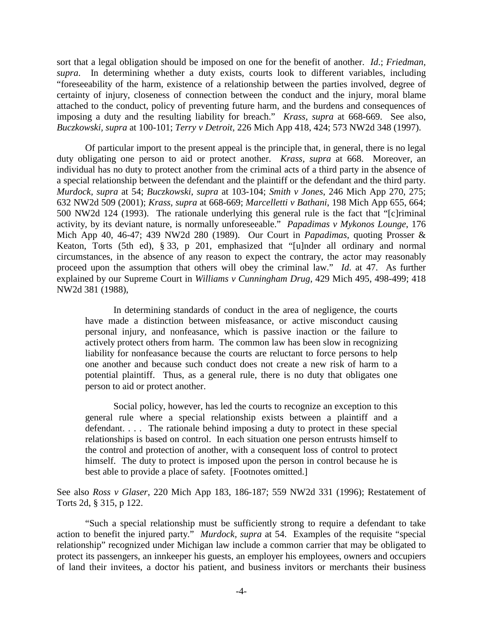sort that a legal obligation should be imposed on one for the benefit of another. *Id*.; *Friedman, supra*. In determining whether a duty exists, courts look to different variables, including "foreseeability of the harm, existence of a relationship between the parties involved, degree of certainty of injury, closeness of connection between the conduct and the injury, moral blame attached to the conduct, policy of preventing future harm, and the burdens and consequences of imposing a duty and the resulting liability for breach." *Krass, supra* at 668-669. See also, *Buczkowski, supra* at 100-101; *Terry v Detroit*, 226 Mich App 418, 424; 573 NW2d 348 (1997).

 Of particular import to the present appeal is the principle that, in general, there is no legal duty obligating one person to aid or protect another. *Krass, supra* at 668. Moreover, an individual has no duty to protect another from the criminal acts of a third party in the absence of a special relationship between the defendant and the plaintiff or the defendant and the third party. *Murdock, supra* at 54; *Buczkowski, supra* at 103-104; *Smith v Jones*, 246 Mich App 270, 275; 632 NW2d 509 (2001); *Krass, supra* at 668-669; *Marcelletti v Bathani*, 198 Mich App 655, 664; 500 NW2d 124 (1993). The rationale underlying this general rule is the fact that "[c]riminal activity, by its deviant nature, is normally unforeseeable." *Papadimas v Mykonos Lounge*, 176 Mich App 40, 46-47; 439 NW2d 280 (1989). Our Court in *Papadimas*, quoting Prosser & Keaton, Torts (5th ed), § 33, p 201, emphasized that "[u]nder all ordinary and normal circumstances, in the absence of any reason to expect the contrary, the actor may reasonably proceed upon the assumption that others will obey the criminal law." *Id*. at 47. As further explained by our Supreme Court in *Williams v Cunningham Drug*, 429 Mich 495, 498-499; 418 NW2d 381 (1988),

 In determining standards of conduct in the area of negligence, the courts have made a distinction between misfeasance, or active misconduct causing personal injury, and nonfeasance, which is passive inaction or the failure to actively protect others from harm. The common law has been slow in recognizing liability for nonfeasance because the courts are reluctant to force persons to help one another and because such conduct does not create a new risk of harm to a potential plaintiff. Thus, as a general rule, there is no duty that obligates one person to aid or protect another.

 Social policy, however, has led the courts to recognize an exception to this general rule where a special relationship exists between a plaintiff and a defendant. . . . The rationale behind imposing a duty to protect in these special relationships is based on control. In each situation one person entrusts himself to the control and protection of another, with a consequent loss of control to protect himself. The duty to protect is imposed upon the person in control because he is best able to provide a place of safety. [Footnotes omitted.]

See also *Ross v Glaser*, 220 Mich App 183, 186-187; 559 NW2d 331 (1996); Restatement of Torts 2d, § 315, p 122.

 "Such a special relationship must be sufficiently strong to require a defendant to take action to benefit the injured party." *Murdock, supra* at 54. Examples of the requisite "special relationship" recognized under Michigan law include a common carrier that may be obligated to protect its passengers, an innkeeper his guests, an employer his employees, owners and occupiers of land their invitees, a doctor his patient, and business invitors or merchants their business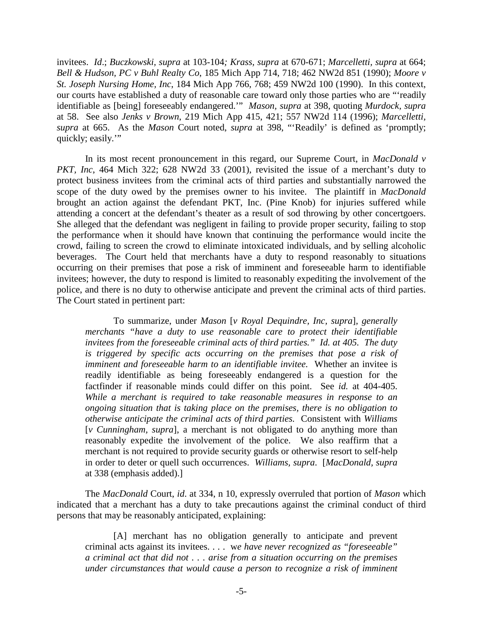invitees. *Id*.; *Buczkowski, supra* at 103-104*; Krass, supra* at 670-671; *Marcelletti, supra* at 664; *Bell & Hudson, PC v Buhl Realty Co*, 185 Mich App 714, 718; 462 NW2d 851 (1990); *Moore v St. Joseph Nursing Home, Inc*, 184 Mich App 766, 768; 459 NW2d 100 (1990). In this context, our courts have established a duty of reasonable care toward only those parties who are "'readily identifiable as [being] foreseeably endangered.'" *Mason, supra* at 398, quoting *Murdock, supra* at 58. See also *Jenks v Brown*, 219 Mich App 415, 421; 557 NW2d 114 (1996); *Marcelletti, supra* at 665. As the *Mason* Court noted, *supra* at 398, "'Readily' is defined as 'promptly; quickly; easily.'"

 In its most recent pronouncement in this regard, our Supreme Court, in *MacDonald v PKT, Inc.* 464 Mich 322; 628 NW2d 33 (2001), revisited the issue of a merchant's duty to protect business invitees from the criminal acts of third parties and substantially narrowed the scope of the duty owed by the premises owner to his invitee. The plaintiff in *MacDonald*  brought an action against the defendant PKT, Inc. (Pine Knob) for injuries suffered while attending a concert at the defendant's theater as a result of sod throwing by other concertgoers. She alleged that the defendant was negligent in failing to provide proper security, failing to stop the performance when it should have known that continuing the performance would incite the crowd, failing to screen the crowd to eliminate intoxicated individuals, and by selling alcoholic beverages. The Court held that merchants have a duty to respond reasonably to situations occurring on their premises that pose a risk of imminent and foreseeable harm to identifiable invitees; however, the duty to respond is limited to reasonably expediting the involvement of the police, and there is no duty to otherwise anticipate and prevent the criminal acts of third parties. The Court stated in pertinent part:

 To summarize, under *Mason* [*v Royal Dequindre, Inc, supra*], *generally merchants "have a duty to use reasonable care to protect their identifiable invitees from the foreseeable criminal acts of third parties." Id. at 405. The duty is triggered by specific acts occurring on the premises that pose a risk of imminent and foreseeable harm to an identifiable invitee.* Whether an invitee is readily identifiable as being foreseeably endangered is a question for the factfinder if reasonable minds could differ on this point. See *id.* at 404-405. *While a merchant is required to take reasonable measures in response to an ongoing situation that is taking place on the premises, there is no obligation to otherwise anticipate the criminal acts of third parties.* Consistent with *Williams*  [*v Cunningham, supra*], a merchant is not obligated to do anything more than reasonably expedite the involvement of the police. We also reaffirm that a merchant is not required to provide security guards or otherwise resort to self-help in order to deter or quell such occurrences. *Williams, supra*. [*MacDonald, supra* at 338 (emphasis added).]

 The *MacDonald* Court, *id*. at 334, n 10, expressly overruled that portion of *Mason* which indicated that a merchant has a duty to take precautions against the criminal conduct of third persons that may be reasonably anticipated, explaining:

 [A] merchant has no obligation generally to anticipate and prevent criminal acts against its invitees. . . . w*e have never recognized as "foreseeable" a criminal act that did not . . . arise from a situation occurring on the premises under circumstances that would cause a person to recognize a risk of imminent*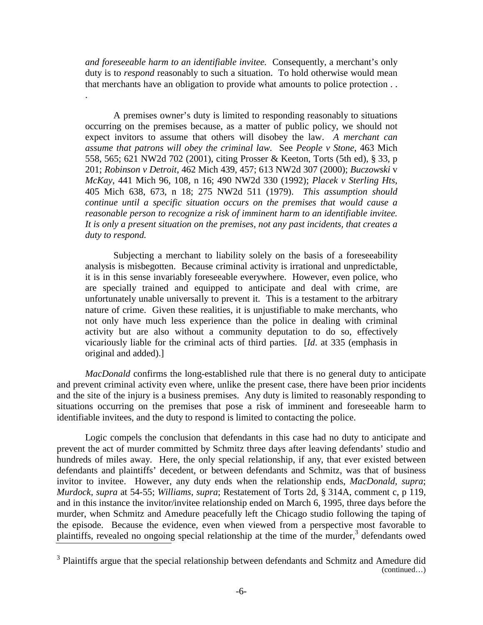*and foreseeable harm to an identifiable invitee.* Consequently, a merchant's only duty is to *respond* reasonably to such a situation. To hold otherwise would mean that merchants have an obligation to provide what amounts to police protection . .

.

 A premises owner's duty is limited to responding reasonably to situations occurring on the premises because, as a matter of public policy, we should not expect invitors to assume that others will disobey the law. *A merchant can assume that patrons will obey the criminal law.* See *People v Stone*, 463 Mich 558, 565; 621 NW2d 702 (2001), citing Prosser & Keeton, Torts (5th ed), § 33, p 201; *Robinson v Detroit*, 462 Mich 439, 457; 613 NW2d 307 (2000); *Buczowski* v *McKay*, 441 Mich 96, 108, n 16; 490 NW2d 330 (1992); *Placek v Sterling Hts*, 405 Mich 638, 673, n 18; 275 NW2d 511 (1979). *This assumption should continue until a specific situation occurs on the premises that would cause a reasonable person to recognize a risk of imminent harm to an identifiable invitee. It is only a present situation on the premises, not any past incidents, that creates a duty to respond.* 

 Subjecting a merchant to liability solely on the basis of a foreseeability analysis is misbegotten. Because criminal activity is irrational and unpredictable, it is in this sense invariably foreseeable everywhere. However, even police, who are specially trained and equipped to anticipate and deal with crime, are unfortunately unable universally to prevent it. This is a testament to the arbitrary nature of crime. Given these realities, it is unjustifiable to make merchants, who not only have much less experience than the police in dealing with criminal activity but are also without a community deputation to do so, effectively vicariously liable for the criminal acts of third parties. [*Id*. at 335 (emphasis in original and added).]

*MacDonald* confirms the long-established rule that there is no general duty to anticipate and prevent criminal activity even where, unlike the present case, there have been prior incidents and the site of the injury is a business premises. Any duty is limited to reasonably responding to situations occurring on the premises that pose a risk of imminent and foreseeable harm to identifiable invitees, and the duty to respond is limited to contacting the police.

 Logic compels the conclusion that defendants in this case had no duty to anticipate and prevent the act of murder committed by Schmitz three days after leaving defendants' studio and hundreds of miles away. Here, the only special relationship, if any, that ever existed between defendants and plaintiffs' decedent, or between defendants and Schmitz, was that of business invitor to invitee. However, any duty ends when the relationship ends, *MacDonald, supra*; *Murdock, supra* at 54-55; *Williams, supra*; Restatement of Torts 2d, § 314A, comment c, p 119, and in this instance the invitor/invitee relationship ended on March 6, 1995, three days before the murder, when Schmitz and Amedure peacefully left the Chicago studio following the taping of the episode. Because the evidence, even when viewed from a perspective most favorable to plaintiffs, revealed no ongoing special relationship at the time of the murder,<sup>3</sup> defendants owed

<sup>&</sup>lt;sup>3</sup> Plaintiffs argue that the special relationship between defendants and Schmitz and Amedure did (continued…)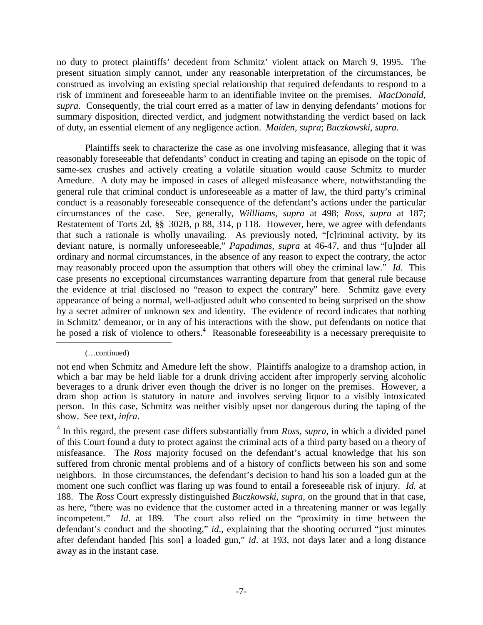no duty to protect plaintiffs' decedent from Schmitz' violent attack on March 9, 1995. The present situation simply cannot, under any reasonable interpretation of the circumstances, be construed as involving an existing special relationship that required defendants to respond to a risk of imminent and foreseeable harm to an identifiable invitee on the premises. *MacDonald, supra*. Consequently, the trial court erred as a matter of law in denying defendants' motions for summary disposition, directed verdict, and judgment notwithstanding the verdict based on lack of duty, an essential element of any negligence action. *Maiden, supra*; *Buczkowski, supra.*

 Plaintiffs seek to characterize the case as one involving misfeasance, alleging that it was reasonably foreseeable that defendants' conduct in creating and taping an episode on the topic of same-sex crushes and actively creating a volatile situation would cause Schmitz to murder Amedure. A duty may be imposed in cases of alleged misfeasance where, notwithstanding the general rule that criminal conduct is unforeseeable as a matter of law, the third party's criminal conduct is a reasonably foreseeable consequence of the defendant's actions under the particular circumstances of the case. See, generally, *Willliams, supra* at 498; *Ross, supra* at 187; Restatement of Torts 2d, §§ 302B, p 88, 314, p 118. However, here, we agree with defendants that such a rationale is wholly unavailing. As previously noted, "[c]riminal activity, by its deviant nature, is normally unforeseeable," *Papadimas, supra* at 46-47, and thus "[u]nder all ordinary and normal circumstances, in the absence of any reason to expect the contrary, the actor may reasonably proceed upon the assumption that others will obey the criminal law." *Id*. This case presents no exceptional circumstances warranting departure from that general rule because the evidence at trial disclosed no "reason to expect the contrary" here. Schmitz gave every appearance of being a normal, well-adjusted adult who consented to being surprised on the show by a secret admirer of unknown sex and identity. The evidence of record indicates that nothing in Schmitz' demeanor, or in any of his interactions with the show, put defendants on notice that he posed a risk of violence to others.<sup>4</sup> Reasonable foreseeability is a necessary prerequisite to

 <sup>(…</sup>continued)

not end when Schmitz and Amedure left the show. Plaintiffs analogize to a dramshop action, in which a bar may be held liable for a drunk driving accident after improperly serving alcoholic beverages to a drunk driver even though the driver is no longer on the premises. However, a dram shop action is statutory in nature and involves serving liquor to a visibly intoxicated person. In this case, Schmitz was neither visibly upset nor dangerous during the taping of the show. See text, *infra*.

<sup>&</sup>lt;sup>4</sup> In this regard, the present case differs substantially from *Ross, supra*, in which a divided panel of this Court found a duty to protect against the criminal acts of a third party based on a theory of misfeasance. The *Ross* majority focused on the defendant's actual knowledge that his son suffered from chronic mental problems and of a history of conflicts between his son and some neighbors. In those circumstances, the defendant's decision to hand his son a loaded gun at the moment one such conflict was flaring up was found to entail a foreseeable risk of injury. *Id.* at 188. The *Ross* Court expressly distinguished *Buczkowski, supra*, on the ground that in that case, as here, "there was no evidence that the customer acted in a threatening manner or was legally incompetent." *Id*. at 189. The court also relied on the "proximity in time between the defendant's conduct and the shooting," *id*., explaining that the shooting occurred "just minutes after defendant handed [his son] a loaded gun," *id*. at 193, not days later and a long distance away as in the instant case.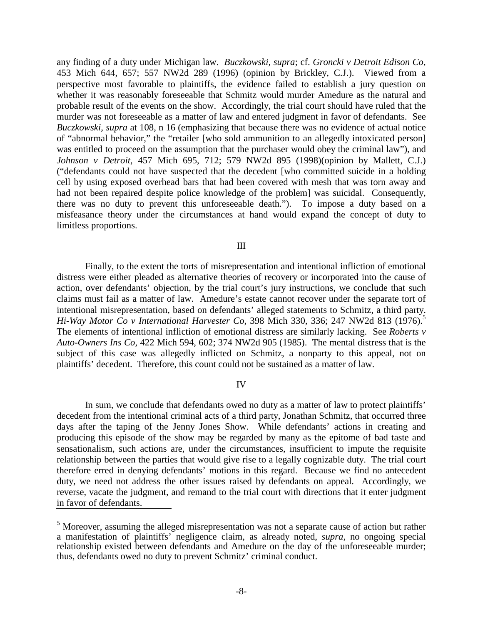any finding of a duty under Michigan law. *Buczkowski, supra*; cf. *Groncki v Detroit Edison Co*, 453 Mich 644, 657; 557 NW2d 289 (1996) (opinion by Brickley, C.J.). Viewed from a perspective most favorable to plaintiffs, the evidence failed to establish a jury question on whether it was reasonably foreseeable that Schmitz would murder Amedure as the natural and probable result of the events on the show. Accordingly, the trial court should have ruled that the murder was not foreseeable as a matter of law and entered judgment in favor of defendants. See *Buczkowski, supra* at 108, n 16 (emphasizing that because there was no evidence of actual notice of "abnormal behavior," the "retailer [who sold ammunition to an allegedly intoxicated person] was entitled to proceed on the assumption that the purchaser would obey the criminal law"), and *Johnson v Detroit*, 457 Mich 695, 712; 579 NW2d 895 (1998)(opinion by Mallett, C.J.) ("defendants could not have suspected that the decedent [who committed suicide in a holding cell by using exposed overhead bars that had been covered with mesh that was torn away and had not been repaired despite police knowledge of the problem] was suicidal. Consequently, there was no duty to prevent this unforeseeable death."). To impose a duty based on a misfeasance theory under the circumstances at hand would expand the concept of duty to limitless proportions.

III

 Finally, to the extent the torts of misrepresentation and intentional infliction of emotional distress were either pleaded as alternative theories of recovery or incorporated into the cause of action, over defendants' objection, by the trial court's jury instructions, we conclude that such claims must fail as a matter of law. Amedure's estate cannot recover under the separate tort of intentional misrepresentation, based on defendants' alleged statements to Schmitz, a third party. *Hi-Way Motor Co v International Harvester Co*, 398 Mich 330, 336; 247 NW2d 813 (1976).5 The elements of intentional infliction of emotional distress are similarly lacking. See *Roberts v Auto-Owners Ins Co,* 422 Mich 594, 602; 374 NW2d 905 (1985). The mental distress that is the subject of this case was allegedly inflicted on Schmitz, a nonparty to this appeal, not on plaintiffs' decedent. Therefore, this count could not be sustained as a matter of law.

IV

 In sum, we conclude that defendants owed no duty as a matter of law to protect plaintiffs' decedent from the intentional criminal acts of a third party, Jonathan Schmitz, that occurred three days after the taping of the Jenny Jones Show. While defendants' actions in creating and producing this episode of the show may be regarded by many as the epitome of bad taste and sensationalism, such actions are, under the circumstances, insufficient to impute the requisite relationship between the parties that would give rise to a legally cognizable duty. The trial court therefore erred in denying defendants' motions in this regard. Because we find no antecedent duty, we need not address the other issues raised by defendants on appeal. Accordingly, we reverse, vacate the judgment, and remand to the trial court with directions that it enter judgment in favor of defendants.

<sup>&</sup>lt;sup>5</sup> Moreover, assuming the alleged misrepresentation was not a separate cause of action but rather a manifestation of plaintiffs' negligence claim, as already noted, *supra,* no ongoing special relationship existed between defendants and Amedure on the day of the unforeseeable murder; thus, defendants owed no duty to prevent Schmitz' criminal conduct.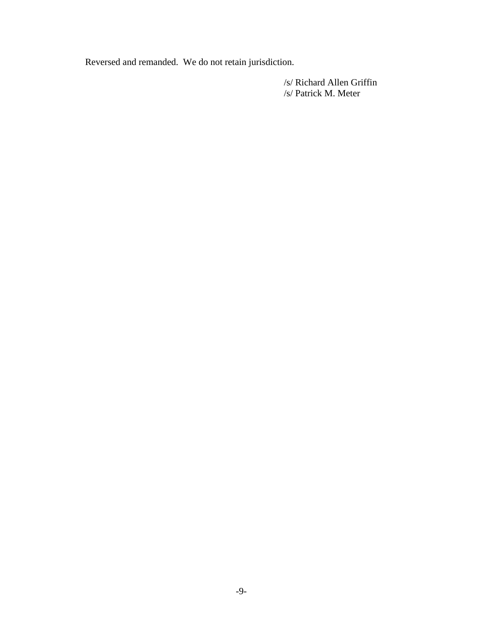Reversed and remanded. We do not retain jurisdiction.

/s/ Richard Allen Griffin /s/ Patrick M. Meter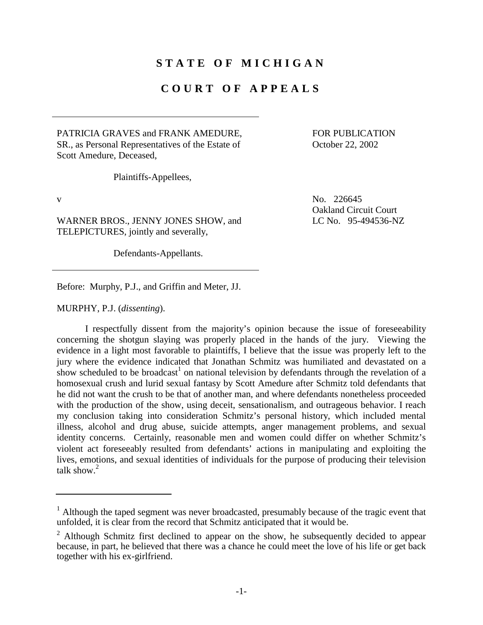## **STATE OF MICHIGAN**

## **COURT OF APPEALS**

PATRICIA GRAVES and FRANK AMEDURE, SR., as Personal Representatives of the Estate of Scott Amedure, Deceased,

 FOR PUBLICATION October 22, 2002

Plaintiffs-Appellees,

WARNER BROS., JENNY JONES SHOW, and TELEPICTURES, jointly and severally,

Defendants-Appellants.

Before: Murphy, P.J., and Griffin and Meter, JJ.

MURPHY, P.J. (*dissenting*).

 I respectfully dissent from the majority's opinion because the issue of foreseeability concerning the shotgun slaying was properly placed in the hands of the jury. Viewing the evidence in a light most favorable to plaintiffs, I believe that the issue was properly left to the jury where the evidence indicated that Jonathan Schmitz was humiliated and devastated on a show scheduled to be broadcast<sup>1</sup> on national television by defendants through the revelation of a homosexual crush and lurid sexual fantasy by Scott Amedure after Schmitz told defendants that he did not want the crush to be that of another man, and where defendants nonetheless proceeded with the production of the show, using deceit, sensationalism, and outrageous behavior. I reach my conclusion taking into consideration Schmitz's personal history, which included mental illness, alcohol and drug abuse, suicide attempts, anger management problems, and sexual identity concerns. Certainly, reasonable men and women could differ on whether Schmitz's violent act foreseeably resulted from defendants' actions in manipulating and exploiting the lives, emotions, and sexual identities of individuals for the purpose of producing their television talk show. $2$ 

v No. 226645 Oakland Circuit Court LC No. 95-494536-NZ

<sup>&</sup>lt;sup>1</sup> Although the taped segment was never broadcasted, presumably because of the tragic event that unfolded, it is clear from the record that Schmitz anticipated that it would be.

 $2$  Although Schmitz first declined to appear on the show, he subsequently decided to appear because, in part, he believed that there was a chance he could meet the love of his life or get back together with his ex-girlfriend.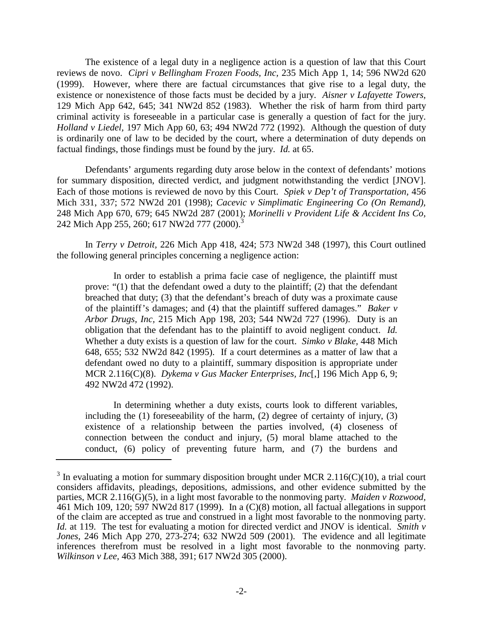The existence of a legal duty in a negligence action is a question of law that this Court reviews de novo. *Cipri v Bellingham Frozen Foods, Inc,* 235 Mich App 1, 14; 596 NW2d 620 (1999). However, where there are factual circumstances that give rise to a legal duty, the existence or nonexistence of those facts must be decided by a jury. *Aisner v Lafayette Towers,*  129 Mich App 642, 645; 341 NW2d 852 (1983). Whether the risk of harm from third party criminal activity is foreseeable in a particular case is generally a question of fact for the jury. *Holland v Liedel,* 197 Mich App 60, 63; 494 NW2d 772 (1992). Although the question of duty is ordinarily one of law to be decided by the court, where a determination of duty depends on factual findings, those findings must be found by the jury. *Id.* at 65.

 Defendants' arguments regarding duty arose below in the context of defendants' motions for summary disposition, directed verdict, and judgment notwithstanding the verdict [JNOV]. Each of those motions is reviewed de novo by this Court. *Spiek v Dep't of Transportation,* 456 Mich 331, 337; 572 NW2d 201 (1998); *Cacevic v Simplimatic Engineering Co (On Remand),*  248 Mich App 670, 679; 645 NW2d 287 (2001); *Morinelli v Provident Life & Accident Ins Co,*  242 Mich App 255, 260; 617 NW2d 777 (2000).<sup>3</sup>

 In *Terry v Detroit,* 226 Mich App 418, 424; 573 NW2d 348 (1997), this Court outlined the following general principles concerning a negligence action:

 In order to establish a prima facie case of negligence, the plaintiff must prove: "(1) that the defendant owed a duty to the plaintiff; (2) that the defendant breached that duty; (3) that the defendant's breach of duty was a proximate cause of the plaintiff's damages; and (4) that the plaintiff suffered damages." *Baker v Arbor Drugs, Inc,* 215 Mich App 198, 203; 544 NW2d 727 (1996). Duty is an obligation that the defendant has to the plaintiff to avoid negligent conduct. *Id.*  Whether a duty exists is a question of law for the court. *Simko v Blake,* 448 Mich 648, 655; 532 NW2d 842 (1995). If a court determines as a matter of law that a defendant owed no duty to a plaintiff, summary disposition is appropriate under MCR 2.116(C)(8). *Dykema v Gus Macker Enterprises, Inc*[,] 196 Mich App 6, 9; 492 NW2d 472 (1992).

 In determining whether a duty exists, courts look to different variables, including the  $(1)$  foreseeability of the harm,  $(2)$  degree of certainty of injury,  $(3)$ existence of a relationship between the parties involved, (4) closeness of connection between the conduct and injury, (5) moral blame attached to the conduct, (6) policy of preventing future harm, and (7) the burdens and

 $3$  In evaluating a motion for summary disposition brought under MCR 2.116(C)(10), a trial court considers affidavits, pleadings, depositions, admissions, and other evidence submitted by the parties, MCR 2.116(G)(5), in a light most favorable to the nonmoving party. *Maiden v Rozwood,*  461 Mich 109, 120; 597 NW2d 817 (1999). In a (C)(8) motion, all factual allegations in support of the claim are accepted as true and construed in a light most favorable to the nonmoving party. *Id.* at 119. The test for evaluating a motion for directed verdict and JNOV is identical. *Smith v Jones,* 246 Mich App 270, 273-274; 632 NW2d 509 (2001). The evidence and all legitimate inferences therefrom must be resolved in a light most favorable to the nonmoving party. *Wilkinson v Lee,* 463 Mich 388, 391; 617 NW2d 305 (2000).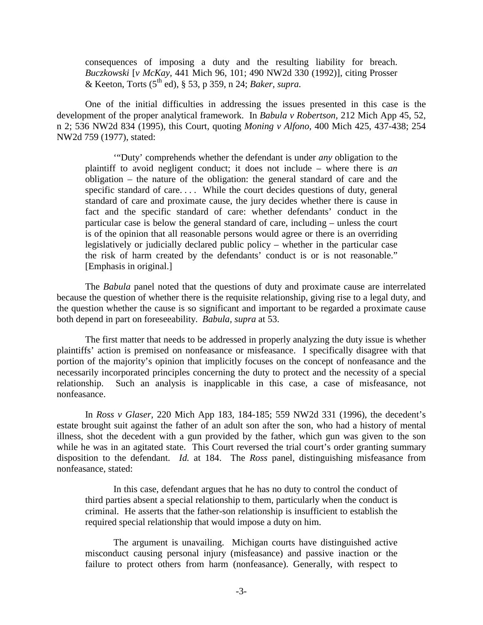consequences of imposing a duty and the resulting liability for breach. *Buczkowski* [*v McKay,* 441 Mich 96, 101; 490 NW2d 330 (1992)], citing Prosser & Keeton, Torts (5th ed), § 53, p 359, n 24; *Baker, supra.* 

 One of the initial difficulties in addressing the issues presented in this case is the development of the proper analytical framework. In *Babula v Robertson,* 212 Mich App 45, 52, n 2; 536 NW2d 834 (1995), this Court, quoting *Moning v Alfono,* 400 Mich 425, 437-438; 254 NW2d 759 (1977), stated:

 '"Duty' comprehends whether the defendant is under *any* obligation to the plaintiff to avoid negligent conduct; it does not include – where there is *an*  obligation – the nature of the obligation: the general standard of care and the specific standard of care.... While the court decides questions of duty, general standard of care and proximate cause, the jury decides whether there is cause in fact and the specific standard of care: whether defendants' conduct in the particular case is below the general standard of care, including – unless the court is of the opinion that all reasonable persons would agree or there is an overriding legislatively or judicially declared public policy – whether in the particular case the risk of harm created by the defendants' conduct is or is not reasonable." [Emphasis in original.]

 The *Babula* panel noted that the questions of duty and proximate cause are interrelated because the question of whether there is the requisite relationship, giving rise to a legal duty, and the question whether the cause is so significant and important to be regarded a proximate cause both depend in part on foreseeability. *Babula, supra* at 53.

 The first matter that needs to be addressed in properly analyzing the duty issue is whether plaintiffs' action is premised on nonfeasance or misfeasance. I specifically disagree with that portion of the majority's opinion that implicitly focuses on the concept of nonfeasance and the necessarily incorporated principles concerning the duty to protect and the necessity of a special relationship. Such an analysis is inapplicable in this case, a case of misfeasance, not nonfeasance.

 In *Ross v Glaser,* 220 Mich App 183, 184-185; 559 NW2d 331 (1996), the decedent's estate brought suit against the father of an adult son after the son, who had a history of mental illness, shot the decedent with a gun provided by the father, which gun was given to the son while he was in an agitated state. This Court reversed the trial court's order granting summary disposition to the defendant. *Id.* at 184. The *Ross* panel, distinguishing misfeasance from nonfeasance, stated:

 In this case, defendant argues that he has no duty to control the conduct of third parties absent a special relationship to them, particularly when the conduct is criminal. He asserts that the father-son relationship is insufficient to establish the required special relationship that would impose a duty on him.

 The argument is unavailing. Michigan courts have distinguished active misconduct causing personal injury (misfeasance) and passive inaction or the failure to protect others from harm (nonfeasance). Generally, with respect to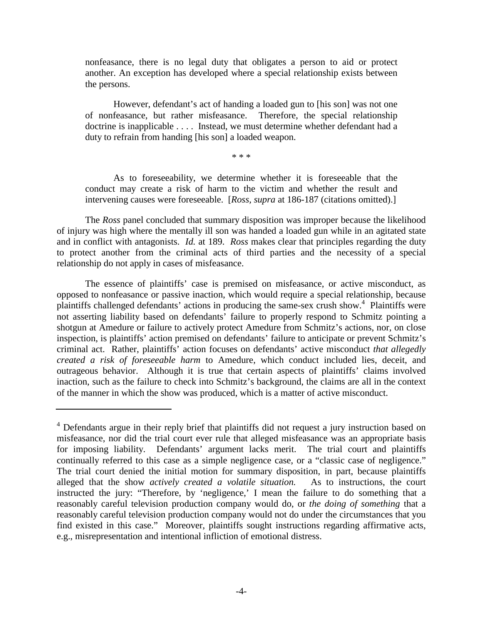nonfeasance, there is no legal duty that obligates a person to aid or protect another. An exception has developed where a special relationship exists between the persons.

 However, defendant's act of handing a loaded gun to [his son] was not one of nonfeasance, but rather misfeasance. Therefore, the special relationship doctrine is inapplicable . . . .Instead, we must determine whether defendant had a duty to refrain from handing [his son] a loaded weapon.

\* \* \*

 As to foreseeability, we determine whether it is foreseeable that the conduct may create a risk of harm to the victim and whether the result and intervening causes were foreseeable. [*Ross, supra* at 186-187 (citations omitted).]

 The *Ross* panel concluded that summary disposition was improper because the likelihood of injury was high where the mentally ill son was handed a loaded gun while in an agitated state and in conflict with antagonists. *Id.* at 189. *Ross* makes clear that principles regarding the duty to protect another from the criminal acts of third parties and the necessity of a special relationship do not apply in cases of misfeasance.

The essence of plaintiffs' case is premised on misfeasance, or active misconduct, as opposed to nonfeasance or passive inaction, which would require a special relationship, because plaintiffs challenged defendants' actions in producing the same-sex crush show.<sup>4</sup> Plaintiffs were not asserting liability based on defendants' failure to properly respond to Schmitz pointing a shotgun at Amedure or failure to actively protect Amedure from Schmitz's actions, nor, on close inspection, is plaintiffs' action premised on defendants' failure to anticipate or prevent Schmitz's criminal act. Rather, plaintiffs' action focuses on defendants' active misconduct *that allegedly created a risk of foreseeable harm* to Amedure, which conduct included lies, deceit, and outrageous behavior. Although it is true that certain aspects of plaintiffs' claims involved inaction, such as the failure to check into Schmitz's background, the claims are all in the context of the manner in which the show was produced, which is a matter of active misconduct.

<sup>&</sup>lt;sup>4</sup> Defendants argue in their reply brief that plaintiffs did not request a jury instruction based on misfeasance, nor did the trial court ever rule that alleged misfeasance was an appropriate basis for imposing liability. Defendants' argument lacks merit. The trial court and plaintiffs continually referred to this case as a simple negligence case, or a "classic case of negligence." The trial court denied the initial motion for summary disposition, in part, because plaintiffs alleged that the show *actively created a volatile situation.* As to instructions, the court instructed the jury: "Therefore, by 'negligence,' I mean the failure to do something that a reasonably careful television production company would do, or *the doing of something* that a reasonably careful television production company would not do under the circumstances that you find existed in this case." Moreover, plaintiffs sought instructions regarding affirmative acts, e.g., misrepresentation and intentional infliction of emotional distress.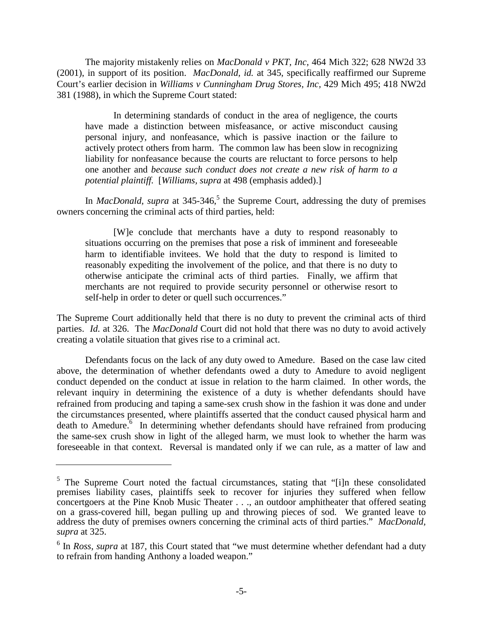The majority mistakenly relies on *MacDonald v PKT, Inc,* 464 Mich 322; 628 NW2d 33 (2001), in support of its position. *MacDonald, id.* at 345, specifically reaffirmed our Supreme Court's earlier decision in *Williams v Cunningham Drug Stores, Inc,* 429 Mich 495; 418 NW2d 381 (1988), in which the Supreme Court stated:

In determining standards of conduct in the area of negligence, the courts have made a distinction between misfeasance, or active misconduct causing personal injury, and nonfeasance, which is passive inaction or the failure to actively protect others from harm. The common law has been slow in recognizing liability for nonfeasance because the courts are reluctant to force persons to help one another and *because such conduct does not create a new risk of harm to a potential plaintiff.* [*Williams, supra* at 498 (emphasis added).]

In *MacDonald, supra* at 345-346,<sup>5</sup> the Supreme Court, addressing the duty of premises owners concerning the criminal acts of third parties, held:

 [W]e conclude that merchants have a duty to respond reasonably to situations occurring on the premises that pose a risk of imminent and foreseeable harm to identifiable invitees. We hold that the duty to respond is limited to reasonably expediting the involvement of the police, and that there is no duty to otherwise anticipate the criminal acts of third parties. Finally, we affirm that merchants are not required to provide security personnel or otherwise resort to self-help in order to deter or quell such occurrences."

The Supreme Court additionally held that there is no duty to prevent the criminal acts of third parties. *Id.* at 326. The *MacDonald* Court did not hold that there was no duty to avoid actively creating a volatile situation that gives rise to a criminal act.

Defendants focus on the lack of any duty owed to Amedure. Based on the case law cited above, the determination of whether defendants owed a duty to Amedure to avoid negligent conduct depended on the conduct at issue in relation to the harm claimed. In other words, the relevant inquiry in determining the existence of a duty is whether defendants should have refrained from producing and taping a same-sex crush show in the fashion it was done and under the circumstances presented, where plaintiffs asserted that the conduct caused physical harm and death to Amedure.<sup>6</sup> In determining whether defendants should have refrained from producing the same-sex crush show in light of the alleged harm, we must look to whether the harm was foreseeable in that context. Reversal is mandated only if we can rule, as a matter of law and

 $5$  The Supreme Court noted the factual circumstances, stating that "[i]n these consolidated premises liability cases, plaintiffs seek to recover for injuries they suffered when fellow concertgoers at the Pine Knob Music Theater . . ., an outdoor amphitheater that offered seating on a grass-covered hill, began pulling up and throwing pieces of sod. We granted leave to address the duty of premises owners concerning the criminal acts of third parties." *MacDonald, supra* at 325.

<sup>&</sup>lt;sup>6</sup> In *Ross, supra* at 187, this Court stated that "we must determine whether defendant had a duty to refrain from handing Anthony a loaded weapon."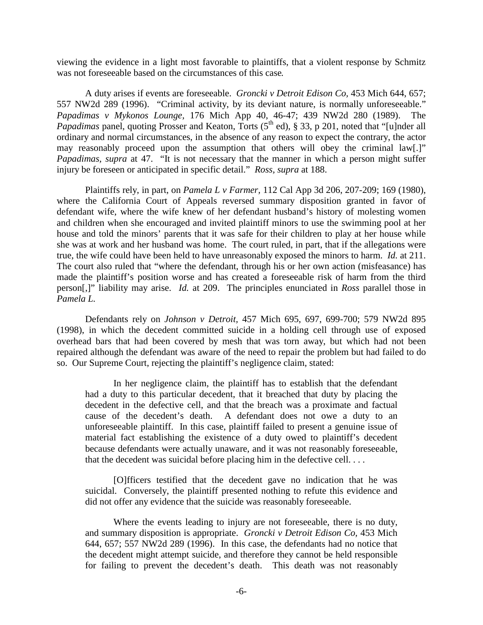viewing the evidence in a light most favorable to plaintiffs, that a violent response by Schmitz was not foreseeable based on the circumstances of this case*.*

A duty arises if events are foreseeable. *Groncki v Detroit Edison Co,* 453 Mich 644, 657; 557 NW2d 289 (1996). "Criminal activity, by its deviant nature, is normally unforeseeable." *Papadimas v Mykonos Lounge,* 176 Mich App 40, 46-47; 439 NW2d 280 (1989). The *Papadimas* panel, quoting Prosser and Keaton, Torts (5<sup>th</sup> ed), § 33, p 201, noted that "[u]nder all ordinary and normal circumstances, in the absence of any reason to expect the contrary, the actor may reasonably proceed upon the assumption that others will obey the criminal law[.]" *Papadimas, supra* at 47. "It is not necessary that the manner in which a person might suffer injury be foreseen or anticipated in specific detail." *Ross, supra* at 188.

 Plaintiffs rely, in part, on *Pamela L v Farmer,* 112 Cal App 3d 206, 207-209; 169 (1980), where the California Court of Appeals reversed summary disposition granted in favor of defendant wife, where the wife knew of her defendant husband's history of molesting women and children when she encouraged and invited plaintiff minors to use the swimming pool at her house and told the minors' parents that it was safe for their children to play at her house while she was at work and her husband was home. The court ruled, in part, that if the allegations were true, the wife could have been held to have unreasonably exposed the minors to harm. *Id.* at 211. The court also ruled that "where the defendant, through his or her own action (misfeasance) has made the plaintiff's position worse and has created a foreseeable risk of harm from the third person[,]" liability may arise. *Id.* at 209. The principles enunciated in *Ross* parallel those in *Pamela L.* 

 Defendants rely on *Johnson v Detroit,* 457 Mich 695, 697, 699-700; 579 NW2d 895 (1998), in which the decedent committed suicide in a holding cell through use of exposed overhead bars that had been covered by mesh that was torn away, but which had not been repaired although the defendant was aware of the need to repair the problem but had failed to do so. Our Supreme Court, rejecting the plaintiff's negligence claim, stated:

In her negligence claim, the plaintiff has to establish that the defendant had a duty to this particular decedent, that it breached that duty by placing the decedent in the defective cell, and that the breach was a proximate and factual cause of the decedent's death. A defendant does not owe a duty to an unforeseeable plaintiff. In this case, plaintiff failed to present a genuine issue of material fact establishing the existence of a duty owed to plaintiff's decedent because defendants were actually unaware, and it was not reasonably foreseeable, that the decedent was suicidal before placing him in the defective cell. . . .

[O]fficers testified that the decedent gave no indication that he was suicidal. Conversely, the plaintiff presented nothing to refute this evidence and did not offer any evidence that the suicide was reasonably foreseeable.

Where the events leading to injury are not foreseeable, there is no duty, and summary disposition is appropriate. *Groncki v Detroit Edison Co,* 453 Mich 644, 657; 557 NW2d 289 (1996). In this case, the defendants had no notice that the decedent might attempt suicide, and therefore they cannot be held responsible for failing to prevent the decedent's death. This death was not reasonably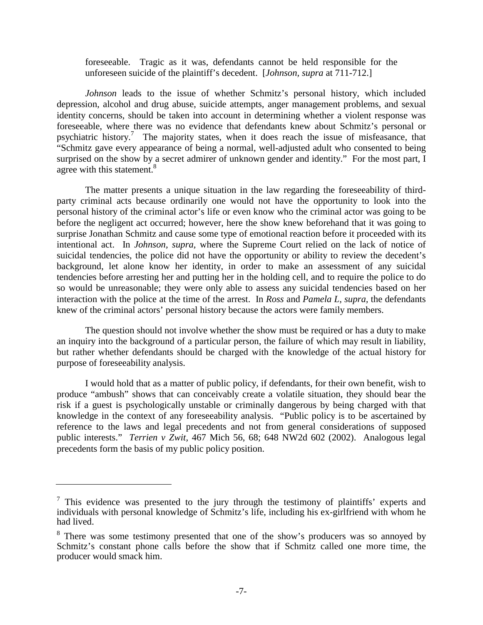foreseeable. Tragic as it was, defendants cannot be held responsible for the unforeseen suicide of the plaintiff's decedent. [*Johnson, supra* at 711-712.]

*Johnson* leads to the issue of whether Schmitz's personal history, which included depression, alcohol and drug abuse, suicide attempts, anger management problems, and sexual identity concerns, should be taken into account in determining whether a violent response was foreseeable, where there was no evidence that defendants knew about Schmitz's personal or psychiatric history.<sup>7</sup> The majority states, when it does reach the issue of misfeasance, that "Schmitz gave every appearance of being a normal, well-adjusted adult who consented to being surprised on the show by a secret admirer of unknown gender and identity." For the most part, I agree with this statement.<sup>8</sup>

The matter presents a unique situation in the law regarding the foreseeability of thirdparty criminal acts because ordinarily one would not have the opportunity to look into the personal history of the criminal actor's life or even know who the criminal actor was going to be before the negligent act occurred; however, here the show knew beforehand that it was going to surprise Jonathan Schmitz and cause some type of emotional reaction before it proceeded with its intentional act. In *Johnson, supra,* where the Supreme Court relied on the lack of notice of suicidal tendencies, the police did not have the opportunity or ability to review the decedent's background, let alone know her identity, in order to make an assessment of any suicidal tendencies before arresting her and putting her in the holding cell, and to require the police to do so would be unreasonable; they were only able to assess any suicidal tendencies based on her interaction with the police at the time of the arrest. In *Ross* and *Pamela L, supra,* the defendants knew of the criminal actors' personal history because the actors were family members.

The question should not involve whether the show must be required or has a duty to make an inquiry into the background of a particular person, the failure of which may result in liability, but rather whether defendants should be charged with the knowledge of the actual history for purpose of foreseeability analysis.

I would hold that as a matter of public policy, if defendants, for their own benefit, wish to produce "ambush" shows that can conceivably create a volatile situation, they should bear the risk if a guest is psychologically unstable or criminally dangerous by being charged with that knowledge in the context of any foreseeability analysis. "Public policy is to be ascertained by reference to the laws and legal precedents and not from general considerations of supposed public interests." *Terrien v Zwit,* 467 Mich 56, 68; 648 NW2d 602 (2002). Analogous legal precedents form the basis of my public policy position.

 $\frac{7}{1}$  This evidence was presented to the jury through the testimony of plaintiffs' experts and individuals with personal knowledge of Schmitz's life, including his ex-girlfriend with whom he had lived.

<sup>&</sup>lt;sup>8</sup> There was some testimony presented that one of the show's producers was so annoyed by Schmitz's constant phone calls before the show that if Schmitz called one more time, the producer would smack him.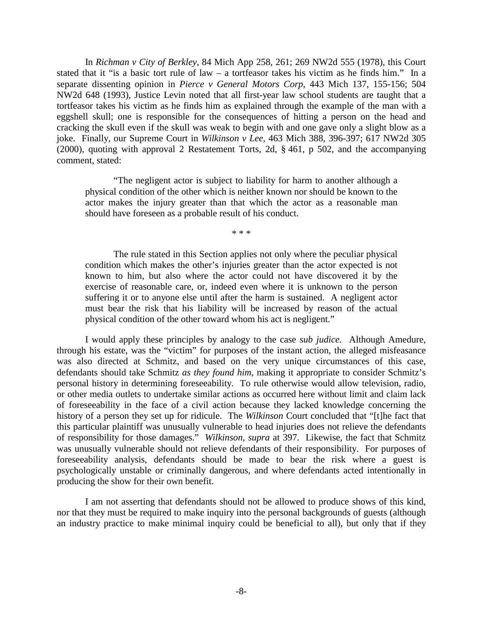In *Richman v City of Berkley,* 84 Mich App 258, 261; 269 NW2d 555 (1978), this Court stated that it "is a basic tort rule of law – a tortfeasor takes his victim as he finds him." In a separate dissenting opinion in *Pierce v General Motors Corp,* 443 Mich 137, 155-156; 504 NW2d 648 (1993), Justice Levin noted that all first-year law school students are taught that a tortfeasor takes his victim as he finds him as explained through the example of the man with a eggshell skull; one is responsible for the consequences of hitting a person on the head and cracking the skull even if the skull was weak to begin with and one gave only a slight blow as a joke. Finally, our Supreme Court in *Wilkinson v Lee,* 463 Mich 388, 396-397; 617 NW2d 305 (2000), quoting with approval 2 Restatement Torts, 2d, § 461, p 502, and the accompanying comment, stated:

 "The negligent actor is subject to liability for harm to another although a physical condition of the other which is neither known nor should be known to the actor makes the injury greater than that which the actor as a reasonable man should have foreseen as a probable result of his conduct.

\* \* \*

 The rule stated in this Section applies not only where the peculiar physical condition which makes the other's injuries greater than the actor expected is not known to him, but also where the actor could not have discovered it by the exercise of reasonable care, or, indeed even where it is unknown to the person suffering it or to anyone else until after the harm is sustained. A negligent actor must bear the risk that his liability will be increased by reason of the actual physical condition of the other toward whom his act is negligent."

 I would apply these principles by analogy to the case *sub judice.* Although Amedure, through his estate, was the "victim" for purposes of the instant action, the alleged misfeasance was also directed at Schmitz, and based on the very unique circumstances of this case, defendants should take Schmitz *as they found him*, making it appropriate to consider Schmitz's personal history in determining foreseeability. To rule otherwise would allow television, radio, or other media outlets to undertake similar actions as occurred here without limit and claim lack of foreseeability in the face of a civil action because they lacked knowledge concerning the history of a person they set up for ridicule. The *Wilkinson* Court concluded that "[t]he fact that this particular plaintiff was unusually vulnerable to head injuries does not relieve the defendants of responsibility for those damages." *Wilkinson, supra* at 397. Likewise, the fact that Schmitz was unusually vulnerable should not relieve defendants of their responsibility. For purposes of foreseeability analysis, defendants should be made to bear the risk where a guest is psychologically unstable or criminally dangerous, and where defendants acted intentionally in producing the show for their own benefit.

I am not asserting that defendants should not be allowed to produce shows of this kind, nor that they must be required to make inquiry into the personal backgrounds of guests (although an industry practice to make minimal inquiry could be beneficial to all), but only that if they